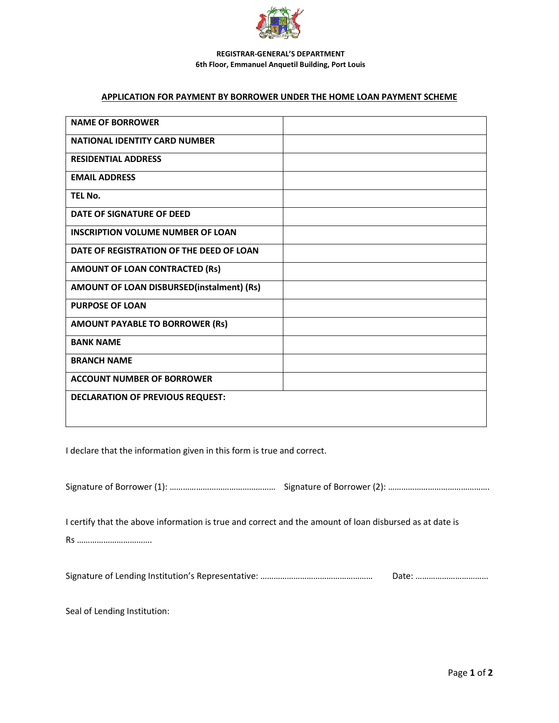

#### **REGISTRAR-GENERAL'S DEPARTMENT 6th Floor, Emmanuel Anquetil Building, Port Louis**

#### **APPLICATION FOR PAYMENT BY BORROWER UNDER THE HOME LOAN PAYMENT SCHEME**

| <b>NAME OF BORROWER</b>                   |
|-------------------------------------------|
| <b>NATIONAL IDENTITY CARD NUMBER</b>      |
| <b>RESIDENTIAL ADDRESS</b>                |
| <b>EMAIL ADDRESS</b>                      |
| TEL No.                                   |
| DATE OF SIGNATURE OF DEED                 |
| <b>INSCRIPTION VOLUME NUMBER OF LOAN</b>  |
| DATE OF REGISTRATION OF THE DEED OF LOAN  |
| AMOUNT OF LOAN CONTRACTED (Rs)            |
| AMOUNT OF LOAN DISBURSED(instalment) (Rs) |
| <b>PURPOSE OF LOAN</b>                    |
| <b>AMOUNT PAYABLE TO BORROWER (Rs)</b>    |
| <b>BANK NAME</b>                          |
| <b>BRANCH NAME</b>                        |
| <b>ACCOUNT NUMBER OF BORROWER</b>         |
| <b>DECLARATION OF PREVIOUS REQUEST:</b>   |
|                                           |

I declare that the information given in this form is true and correct.

Signature of Borrower (1): ……………………………………………………… Signature of Borrower (2): ………………………………………………

I certify that the above information is true and correct and the amount of loan disbursed as at date is

Rs …………………………….

Signature of Lending Institution's Representative: …………………………………………… Date: ……………………………

Seal of Lending Institution: